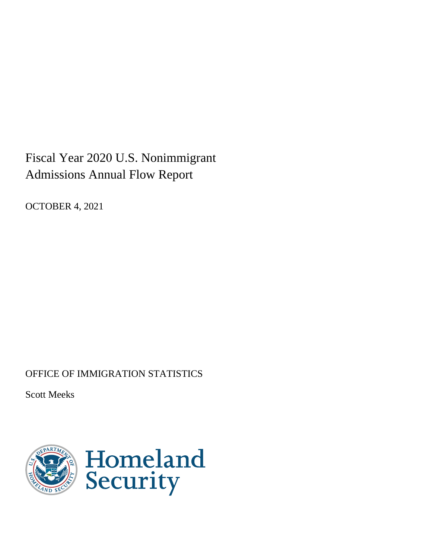# Fiscal Year 2020 U.S. Nonimmigrant Admissions Annual Flow Report

OCTOBER 4, 2021

# OFFICE OF IMMIGRATION STATISTICS

Scott Meeks

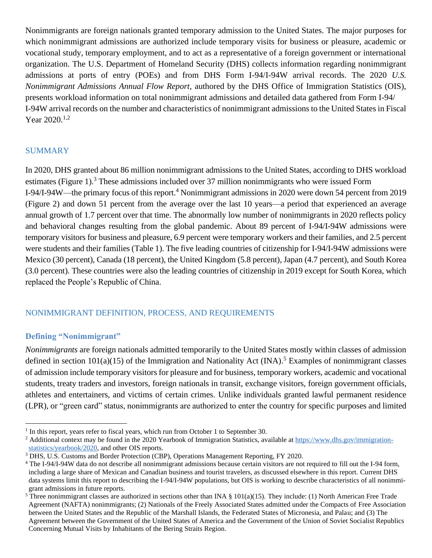Nonimmigrants are foreign nationals granted temporary admission to the United States. The major purposes for which nonimmigrant admissions are authorized include temporary visits for business or pleasure, academic or vocational study, temporary employment, and to act as a representative of a foreign government or international organization. The U.S. Department of Homeland Security (DHS) collects information regarding nonimmigrant admissions at ports of entry (POEs) and from DHS Form I-94/I-94W arrival records. The 2020 *U.S. Nonimmigrant Admissions Annual Flow Report,* authored by the DHS Office of Immigration Statistics (OIS), presents workload information on total nonimmigrant admissions and detailed data gathered from Form I-94/ I-94W arrival records on the number and characteristics of nonimmigrant admissions to the United States in Fiscal Year 2020.<sup>1,2</sup>

#### **SUMMARY**

In 2020, DHS granted about 86 million nonimmigrant admissions to the United States, according to DHS workload estimates (Figure 1).<sup>3</sup> These admissions included over 37 million nonimmigrants who were issued Form I-94/I-94W—the primary focus of this report.<sup>4</sup> Nonimmigrant admissions in 2020 were down 54 percent from 2019 (Figure 2) and down 51 percent from the average over the last 10 years—a period that experienced an average annual growth of 1.7 percent over that time. The abnormally low number of nonimmigrants in 2020 reflects policy and behavioral changes resulting from the global pandemic. About 89 percent of I-94/I-94W admissions were temporary visitors for business and pleasure, 6.9 percent were temporary workers and their families, and 2.5 percent were students and their families (Table 1). The five leading countries of citizenship for I-94/I-94W admissions were Mexico (30 percent), Canada (18 percent), the United Kingdom (5.8 percent), Japan (4.7 percent), and South Korea (3.0 percent). These countries were also the leading countries of citizenship in 2019 except for South Korea, which replaced the People's Republic of China.

#### NONIMMIGRANT DEFINITION, PROCESS, AND REQUIREMENTS

#### **Defining "Nonimmigrant"**

*Nonimmigrants* are foreign nationals admitted temporarily to the United States mostly within classes of admission defined in section  $101(a)(15)$  of the Immigration and Nationality Act (INA).<sup>5</sup> Examples of nonimmigrant classes of admission include temporary visitors for pleasure and for business, temporary workers, academic and vocational students, treaty traders and investors, foreign nationals in transit, exchange visitors, foreign government officials, athletes and entertainers, and victims of certain crimes. Unlike individuals granted lawful permanent residence (LPR), or "green card" status, nonimmigrants are authorized to enter the country for specific purposes and limited

 $<sup>1</sup>$  In this report, years refer to fiscal years, which run from October 1 to September 30.</sup>

<sup>&</sup>lt;sup>2</sup> Additional context may be found in the 2020 Yearbook of Immigration Statistics, available a[t https://www.dhs.gov/immigration](https://www.dhs.gov/immigration-statistics/yearbook/2020)[statistics/yearbook/2020,](https://www.dhs.gov/immigration-statistics/yearbook/2020) and other OIS reports.

<sup>3</sup> DHS, U.S. Customs and Border Protection (CBP), Operations Management Reporting, FY 2020.

<sup>4</sup> The I-94/I-94W data do not describe all nonimmigrant admissions because certain visitors are not required to fill out the I-94 form, including a large share of Mexican and Canadian business and tourist travelers, as discussed elsewhere in this report. Current DHS data systems limit this report to describing the I-94/I-94W populations, but OIS is working to describe characteristics of all nonimmigrant admissions in future reports.

<sup>&</sup>lt;sup>5</sup> Three nonimmigrant classes are authorized in sections other than INA  $\S$  101(a)(15). They include: (1) North American Free Trade Agreement (NAFTA) nonimmigrants; (2) Nationals of the Freely Associated States admitted under the Compacts of Free Association between the United States and the Republic of the Marshall Islands, the Federated States of Micronesia, and Palau; and (3) The Agreement between the Government of the United States of America and the Government of the Union of Soviet Socialist Republics Concerning Mutual Visits by Inhabitants of the Bering Straits Region.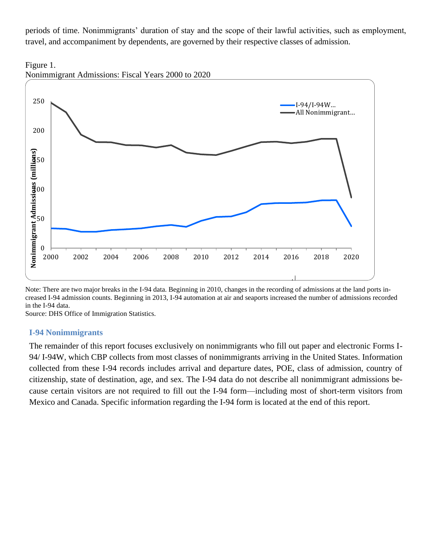periods of time. Nonimmigrants' duration of stay and the scope of their lawful activities, such as employment, travel, and accompaniment by dependents, are governed by their respective classes of admission.





Note: There are two major breaks in the I-94 data. Beginning in 2010, changes in the recording of admissions at the land ports increased I-94 admission counts. Beginning in 2013, I-94 automation at air and seaports increased the number of admissions recorded in the I-94 data.

Source: DHS Office of Immigration Statistics.

#### **I-94 Nonimmigrants**

The remainder of this report focuses exclusively on nonimmigrants who fill out paper and electronic Forms I-94/ I-94W, which CBP collects from most classes of nonimmigrants arriving in the United States. Information collected from these I-94 records includes arrival and departure dates, POE, class of admission, country of citizenship, state of destination, age, and sex. The I-94 data do not describe all nonimmigrant admissions because certain visitors are not required to fill out the I-94 form—including most of short-term visitors from Mexico and Canada. Specific information regarding the I-94 form is located at the end of this report.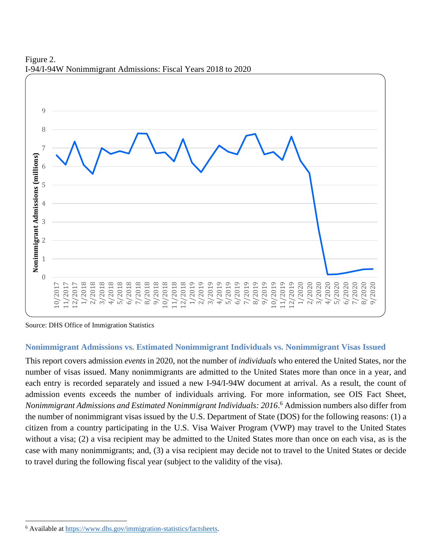

Figure 2. I-94/I-94W Nonimmigrant Admissions: Fiscal Years 2018 to 2020

Source: DHS Office of Immigration Statistics

#### **Nonimmigrant Admissions vs. Estimated Nonimmigrant Individuals vs. Nonimmigrant Visas Issued**

This report covers admission *events* in 2020, not the number of *individuals* who entered the United States, nor the number of visas issued. Many nonimmigrants are admitted to the United States more than once in a year, and each entry is recorded separately and issued a new I-94/I-94W document at arrival. As a result, the count of admission events exceeds the number of individuals arriving. For more information, see OIS Fact Sheet, *Nonimmigrant Admissions and Estimated Nonimmigrant Individuals: 2016*. <sup>6</sup> Admission numbers also differ from the number of nonimmigrant visas issued by the U.S. Department of State (DOS) for the following reasons: (1) a citizen from a country participating in the U.S. Visa Waiver Program (VWP) may travel to the United States without a visa; (2) a visa recipient may be admitted to the United States more than once on each visa, as is the case with many nonimmigrants; and, (3) a visa recipient may decide not to travel to the United States or decide to travel during the following fiscal year (subject to the validity of the visa).

<sup>6</sup> Available at [https://www.dhs.gov/immigration-statistics/factsheets.](https://www.dhs.gov/immigration-statistics/factsheets)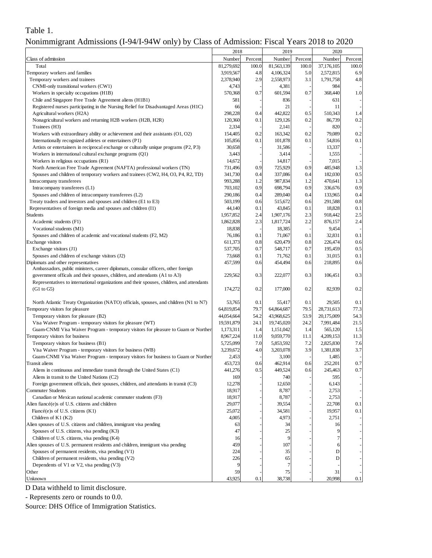# Table 1.

| Nonimmigrant Admissions (I-94/I-94W only) by Class of Admission: Fiscal Years 2018 to 2020 |  |  |  |  |
|--------------------------------------------------------------------------------------------|--|--|--|--|
|                                                                                            |  |  |  |  |

|                                                                                                                                                                 | 2018               |            | 2019               |            | 2020              |            |
|-----------------------------------------------------------------------------------------------------------------------------------------------------------------|--------------------|------------|--------------------|------------|-------------------|------------|
| Class of admission                                                                                                                                              | Number             | Percent    | Number             | Percent    | Number            | Percent    |
| Total                                                                                                                                                           | 81,279,692         | 100.0      | 81,563,139         | 100.0      | 37,176,105        | 100.0      |
| Temporary workers and families                                                                                                                                  | 3,919,567          | 4.8        | 4,106,324          | 5.0        | 2,572,815         | 6.9        |
| Temporary workers and trainees                                                                                                                                  | 2,378,940          | 2.9        | 2,558,973          | 3.1        | 1,791,758         | 4.8        |
| CNMI-only transitional workers (CW1)                                                                                                                            | 4,743              |            | 4,381              |            | 984               |            |
| Workers in specialty occupations (H1B)                                                                                                                          | 570,368            | 0.7        | 601,594            | 0.7        | 368,440           | 1.0        |
| Chile and Singapore Free Trade Agreement aliens (H1B1)                                                                                                          | 581                |            | 836                |            | 631               |            |
| Registered nurses participating in the Nursing Relief for Disadvantaged Areas (H1C)                                                                             | 66                 |            | 21                 |            | 11                |            |
| Agricultural workers (H2A)<br>Nonagricultural workers and returning H2B workers (H2B, H2R)                                                                      | 298,228<br>120,360 | 0.4<br>0.1 | 442,822<br>129,126 | 0.5<br>0.2 | 510,343<br>86,739 | 1.4<br>0.2 |
| Trainees (H3)                                                                                                                                                   | 2,334              |            | 2,141              |            | 820               |            |
| Workers with extraordinary ability or achievement and their assistants (O1, O2)                                                                                 | 154,405            | 0.2        | 163,342            | 0.2        | 79,089            | 0.2        |
| Internationally recognized athletes or entertainers (P1)                                                                                                        | 105,856            | 0.1        | 101,878            | 0.1        | 54,816            | 0.1        |
| Artists or entertainers in reciprocal exchange or culturally unique programs (P2, P3)                                                                           | 30,658             |            | 31,586             |            | 13,337            |            |
| Workers in international cultural exchange programs (Q1)                                                                                                        | 3,443              |            | 3,414              |            | 1,555             |            |
| Workers in religious occupations (R1)                                                                                                                           | 14,672             |            | 14,817             |            | 7,015             |            |
| North American Free Trade Agreement (NAFTA) professional workers (TN)                                                                                           | 731,496            | 0.9        | 725,929            | 0.9        | 485,948           | 1.3        |
| Spouses and children of temporary workers and trainees (CW2, H4, O3, P4, R2, TD)                                                                                | 341,730            | 0.4        | 337,086            | 0.4        | 182,030           | 0.5        |
| Intracompany transferees                                                                                                                                        | 993,288            | 1.2        | 987,834            | 1.2        | 470,641           | 1.3        |
| Intracompany transferees (L1)                                                                                                                                   | 703,102            | 0.9        | 698,794            | 0.9        | 336,676           | 0.9        |
| Spouses and children of intracompany transferees (L2)                                                                                                           | 290,186            | 0.4        | 289,040            | 0.4        | 133,965           | 0.4        |
| Treaty traders and investors and spouses and children (E1 to E3)                                                                                                | 503,199            | 0.6        | 515,672            | 0.6        | 291,588           | 0.8        |
| Representatives of foreign media and spouses and children (I1)                                                                                                  | 44,140             | 0.1        | 43,845             | 0.1        | 18,828            | 0.1        |
| <b>Students</b>                                                                                                                                                 | 1,957,852          | 2.4        | 1,907,176          | 2.3        | 918,442           | 2.5        |
| Academic students (F1)                                                                                                                                          | 1,862,828          | 2.3        | 1,817,724          | 2.2        | 876,157           | 2.4        |
| Vocational students (M1)                                                                                                                                        | 18,838             |            | 18,385             |            | 9,454             |            |
| Spouses and children of academic and vocational students (F2, M2)                                                                                               | 76,186             | 0.1        | 71,067             | 0.1        | 32,831            | 0.1        |
| Exchange visitors                                                                                                                                               | 611,373            | 0.8        | 620,479            | 0.8        | 226,474           | 0.6        |
| Exchange visitors (J1)                                                                                                                                          | 537,705            | 0.7        | 548,717            | 0.7        | 195,459           | 0.5        |
| Spouses and children of exchange visitors (J2)                                                                                                                  | 73,668             | 0.1        | 71,762             | 0.1        | 31,015            | 0.1        |
| Diplomats and other representatives                                                                                                                             | 457,599            | 0.6        | 454,494            | 0.6        | 218,895           | 0.6        |
| Ambassadors, public ministers, career diplomats, consular officers, other foreign<br>government officals and their spouses, children, and attendants (A1 to A3) | 229,562            | 0.3        | 222,077            | 0.3        | 106,451           | 0.3        |
| Representatives to international organizations and their spouses, children, and attendants                                                                      |                    |            |                    |            |                   |            |
| (G1 to G5)                                                                                                                                                      | 174,272            | 0.2        | 177,000            | 0.2        | 82,939            | 0.2        |
|                                                                                                                                                                 |                    |            |                    |            |                   |            |
| North Atlantic Treaty Organization (NATO) officials, spouses, and children (N1 to N7)                                                                           | 53,765             | 0.1        | 55,417             | 0.1        | 29,505            | 0.1        |
| Temporary visitors for pleasure                                                                                                                                 | 64,819,854         | 79.7       | 64,864,687         | 79.5       | 28,731,613        | 77.3       |
| Temporary visitors for pleasure (B2)                                                                                                                            | 44,054,664         | 54.2       | 43,968,625         | 53.9       | 20,175,009        | 54.3       |
| Visa Waiver Program - temporary visitors for pleasure (WT)                                                                                                      | 19,591,879         | 24.1       | 19,745,020         | 24.2       | 7,991,484         | 21.5       |
| Guam-CNMI Visa Waiver Program - temporary visitors for pleasure to Guam or Norther                                                                              | 1,173,311          | 1.4        | 1,151,042          | 1.4        | 565,120           | 1.5        |
| Temporary visitors for business                                                                                                                                 | 8,967,224          | 11.0       | 9,059,770          | 11.1       | 4,209,153         | 11.3       |
| Temporary visitors for business (B1)                                                                                                                            | 5,725,099          | 7.0        | 5,853,592          | 7.2        | 2,825,830         | 7.6        |
| Visa Waiver Program - temporary visitors for business (WB)                                                                                                      | 3,239,672          | 4.0        | 3,203,078          | 3.9        | 1,381,838         | 3.7        |
| Guam-CNMI Visa Waiver Program - temporary visitors for business to Guam or Norther                                                                              | 2,453              |            | 3,100              |            | 1,485             |            |
| Transit aliens                                                                                                                                                  | 453,723            | 0.6        | 462,914            | 0.6        | 252,201           | 0.7        |
| Aliens in continuous and immediate transit through the United States (C1)                                                                                       | 441,276            | 0.5        | 449,524            | 0.6        | 245,463           | 0.7        |
| Aliens in transit to the United Nations (C2)                                                                                                                    | 169                |            | 740                |            | 595               |            |
| Foreign government officials, their spouses, children, and attendants in transit (C3)                                                                           | 12,278             |            | 12,650             |            | 6,143             |            |
| <b>Commuter Students</b>                                                                                                                                        | 18,917             |            | 8,787              |            | 2,753             |            |
| Canadian or Mexican national academic commuter students (F3)                                                                                                    | 18,917             |            | 8,787              |            | 2,753             |            |
| Alien fiancé(e)s of U.S. citizens and children                                                                                                                  | 29,077             |            | 39,554             |            | 22,708            | 0.1        |
| Fiancé(e)s of U.S. citizens $(K1)$<br>Children of $K1$ ( $K2$ )                                                                                                 | 25,072<br>4,005    |            | 34,581<br>4,973    |            | 19,957<br>2,751   | 0.1        |
| Alien spouses of U.S. citizens and children, immigrant visa pending                                                                                             | 63                 |            | 34                 |            | 16                |            |
| Spouses of U.S. citizens, visa pending (K3)                                                                                                                     | 47                 |            | 25                 |            | 9                 |            |
| Children of U.S. citizens, visa pending (K4)                                                                                                                    | 16                 |            | 9                  |            |                   |            |
| Alien spouses of U.S. permanent residents and children, immigrant visa pending                                                                                  | 459                |            | 107                |            | 6                 |            |
| Spouses of permanent residents, visa pending (V1)                                                                                                               | 224                |            | 35                 |            | D                 |            |
| Children of permanent residents, visa pending (V2)                                                                                                              | 226                |            | 65                 |            | D                 |            |
| Dependents of $V1$ or $V2$ , visa pending $(V3)$                                                                                                                | 9                  |            | 7                  |            |                   |            |
| Other                                                                                                                                                           | 59                 |            | 75                 |            | 31                |            |
| Unknown                                                                                                                                                         | 43,925             | 0.1        | 38,738             |            | 20,998            | 0.1        |
| D Data withheld to limit disclosure.                                                                                                                            |                    |            |                    |            |                   |            |
|                                                                                                                                                                 |                    |            |                    |            |                   |            |
| - Represents zero or rounds to 0.0.                                                                                                                             |                    |            |                    |            |                   |            |
| Source: DHS Office of Immigration Statistics.                                                                                                                   |                    |            |                    |            |                   |            |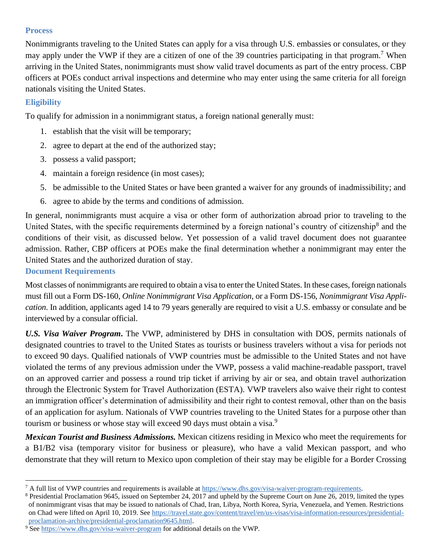## **Process**

Nonimmigrants traveling to the United States can apply for a visa through U.S. embassies or consulates, or they may apply under the VWP if they are a citizen of one of the 39 countries participating in that program.<sup>7</sup> When arriving in the United States, nonimmigrants must show valid travel documents as part of the entry process. CBP officers at POEs conduct arrival inspections and determine who may enter using the same criteria for all foreign nationals visiting the United States.

# **Eligibility**

To qualify for admission in a nonimmigrant status, a foreign national generally must:

- 1. establish that the visit will be temporary;
- 2. agree to depart at the end of the authorized stay;
- 3. possess a valid passport;
- 4. maintain a foreign residence (in most cases);
- 5. be admissible to the United States or have been granted a waiver for any grounds of inadmissibility; and
- 6. agree to abide by the terms and conditions of admission.

In general, nonimmigrants must acquire a visa or other form of authorization abroad prior to traveling to the United States, with the specific requirements determined by a foreign national's country of citizenship<sup>8</sup> and the conditions of their visit, as discussed below. Yet possession of a valid travel document does not guarantee admission. Rather, CBP officers at POEs make the final determination whether a nonimmigrant may enter the United States and the authorized duration of stay.

# **Document Requirements**

Most classes of nonimmigrants are required to obtain a visa to enter the United States. In these cases, foreign nationals must fill out a Form DS-160, *Online Nonimmigrant Visa Application*, or a Form DS-156, *Nonimmigrant Visa Application*. In addition, applicants aged 14 to 79 years generally are required to visit a U.S. embassy or consulate and be interviewed by a consular official.

*U.S. Visa Waiver Program***.** The VWP, administered by DHS in consultation with DOS, permits nationals of designated countries to travel to the United States as tourists or business travelers without a visa for periods not to exceed 90 days. Qualified nationals of VWP countries must be admissible to the United States and not have violated the terms of any previous admission under the VWP, possess a valid machine-readable passport, travel on an approved carrier and possess a round trip ticket if arriving by air or sea, and obtain travel authorization through the Electronic System for Travel Authorization (ESTA). VWP travelers also waive their right to contest an immigration officer's determination of admissibility and their right to contest removal, other than on the basis of an application for asylum. Nationals of VWP countries traveling to the United States for a purpose other than tourism or business or whose stay will exceed 90 days must obtain a visa.<sup>9</sup>

*Mexican Tourist and Business Admissions.* Mexican citizens residing in Mexico who meet the requirements for a B1/B2 visa (temporary visitor for business or pleasure), who have a valid Mexican passport, and who demonstrate that they will return to Mexico upon completion of their stay may be eligible for a Border Crossing

<sup>&</sup>lt;sup>7</sup> A full list of VWP countries and requirements is available at [https://www.dhs.gov/visa-waiver-program-requirements.](https://www.dhs.gov/visa-waiver-program-requirements)

<sup>8</sup> Presidential Proclamation 9645, issued on September 24, 2017 and upheld by the Supreme Court on June 26, 2019, limited the types of nonimmigrant visas that may be issued to nationals of Chad, Iran, Libya, North Korea, Syria, Venezuela, and Yemen. Restrictions on Chad were lifted on April 10, 2019. See [https://travel.state.gov/content/travel/en/us-visas/visa-information-resources/presidential](https://travel.state.gov/content/travel/en/us-visas/visa-information-resources/presidential-proclamation-archive/presidential-proclamation9645.html)[proclamation-archive/presidential-proclamation9645.html.](https://travel.state.gov/content/travel/en/us-visas/visa-information-resources/presidential-proclamation-archive/presidential-proclamation9645.html)

 $9$  Se[e https://www.dhs.gov/visa-waiver-program](https://www.dhs.gov/visa-waiver-program) for additional details on the VWP.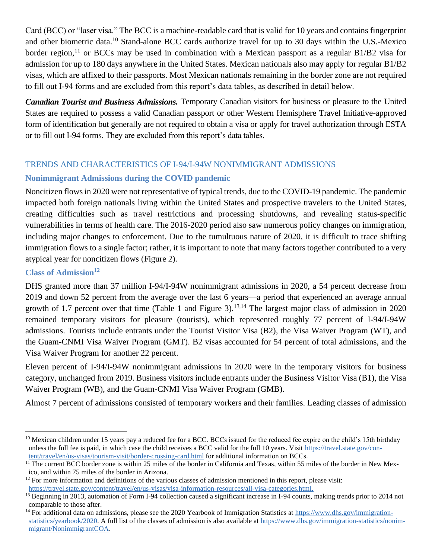Card (BCC) or "laser visa." The BCC is a machine-readable card that is valid for 10 years and contains fingerprint and other biometric data.<sup>10</sup> Stand-alone BCC cards authorize travel for up to 30 days within the U.S.-Mexico border region,<sup>11</sup> or BCCs may be used in combination with a Mexican passport as a regular B1/B2 visa for admission for up to 180 days anywhere in the United States. Mexican nationals also may apply for regular B1/B2 visas, which are affixed to their passports. Most Mexican nationals remaining in the border zone are not required to fill out I-94 forms and are excluded from this report's data tables, as described in detail below.

*Canadian Tourist and Business Admissions.* Temporary Canadian visitors for business or pleasure to the United States are required to possess a valid Canadian passport or other Western Hemisphere Travel Initiative-approved form of identification but generally are not required to obtain a visa or apply for travel authorization through ESTA or to fill out I-94 forms. They are excluded from this report's data tables.

### TRENDS AND CHARACTERISTICS OF I-94/I-94W NONIMMIGRANT ADMISSIONS

# **Nonimmigrant Admissions during the COVID pandemic**

Noncitizen flows in 2020 were not representative of typical trends, due to the COVID-19 pandemic. The pandemic impacted both foreign nationals living within the United States and prospective travelers to the United States, creating difficulties such as travel restrictions and processing shutdowns, and revealing status-specific vulnerabilities in terms of health care. The 2016-2020 period also saw numerous policy changes on immigration, including major changes to enforcement. Due to the tumultuous nature of 2020, it is difficult to trace shifting immigration flows to a single factor; rather, it is important to note that many factors together contributed to a very atypical year for noncitizen flows (Figure 2).

## **Class of Admission<sup>12</sup>**

DHS granted more than 37 million I-94/I-94W nonimmigrant admissions in 2020, a 54 percent decrease from 2019 and down 52 percent from the average over the last 6 years—a period that experienced an average annual growth of 1.7 percent over that time (Table 1 and Figure 3).<sup>13,14</sup> The largest major class of admission in 2020 remained temporary visitors for pleasure (tourists), which represented roughly 77 percent of I-94/I-94W admissions. Tourists include entrants under the Tourist Visitor Visa (B2), the Visa Waiver Program (WT), and the Guam-CNMI Visa Waiver Program (GMT). B2 visas accounted for 54 percent of total admissions, and the Visa Waiver Program for another 22 percent.

Eleven percent of I-94/I-94W nonimmigrant admissions in 2020 were in the temporary visitors for business category, unchanged from 2019. Business visitors include entrants under the Business Visitor Visa (B1), the Visa Waiver Program (WB), and the Guam-CNMI Visa Waiver Program (GMB).

Almost 7 percent of admissions consisted of temporary workers and their families. Leading classes of admission

<sup>&</sup>lt;sup>10</sup> Mexican children under 15 years pay a reduced fee for a BCC. BCCs issued for the reduced fee expire on the child's 15th birthday unless the full fee is paid, in which case the child receives a BCC valid for the full 10 years. Visit [https://travel.state.gov/con](https://travel.state.gov/content/travel/en/us-visas/tourism-visit/border-crossing-card.html)[tent/travel/en/us-visas/tourism-visit/border-crossing-card.html](https://travel.state.gov/content/travel/en/us-visas/tourism-visit/border-crossing-card.html) for additional information on BCCs.

<sup>&</sup>lt;sup>11</sup> The current BCC border zone is within 25 miles of the border in California and Texas, within 55 miles of the border in New Mexico, and within 75 miles of the border in Arizona.

 $12$  For more information and definitions of the various classes of admission mentioned in this report, please visit: [https://travel.state.gov/content/travel/en/us-visas/visa-information-resources/all-visa-categories.html.](https://travel.state.gov/content/travel/en/us-visas/visa-information-resources/all-visa-categories.html)

<sup>&</sup>lt;sup>13</sup> Beginning in 2013, automation of Form I-94 collection caused a significant increase in I-94 counts, making trends prior to 2014 not comparable to those after.

<sup>&</sup>lt;sup>14</sup> For additional data on admissions, please see the 2020 Yearbook of Immigration Statistics at [https://www.dhs.gov/immigration](https://www.dhs.gov/immigration-statistics/yearbook/2020)[statistics/yearbook/2020.](https://www.dhs.gov/immigration-statistics/yearbook/2020) A full list of the classes of admission is also available at [https://www.dhs.gov/immigration-statistics/nonim](https://www.dhs.gov/immigration-statistics/nonimmigrant/NonimmigrantCOA)[migrant/NonimmigrantCOA.](https://www.dhs.gov/immigration-statistics/nonimmigrant/NonimmigrantCOA)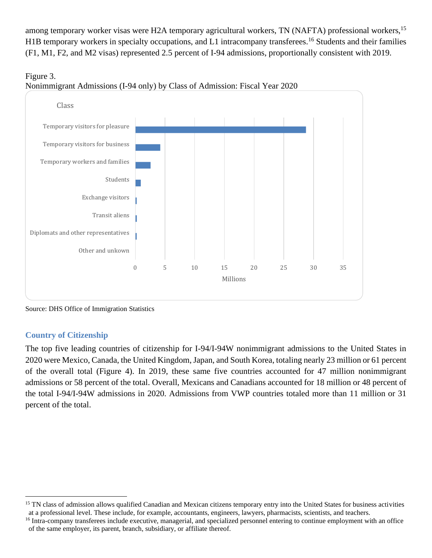among temporary worker visas were H2A temporary agricultural workers, TN (NAFTA) professional workers, <sup>15</sup> H1B temporary workers in specialty occupations, and L1 intracompany transferees.<sup>16</sup> Students and their families (F1, M1, F2, and M2 visas) represented 2.5 percent of I-94 admissions, proportionally consistent with 2019.





Source: DHS Office of Immigration Statistics

# **Country of Citizenship**

The top five leading countries of citizenship for I-94/I-94W nonimmigrant admissions to the United States in 2020 were Mexico, Canada, the United Kingdom, Japan, and South Korea, totaling nearly 23 million or 61 percent of the overall total (Figure 4). In 2019, these same five countries accounted for 47 million nonimmigrant admissions or 58 percent of the total. Overall, Mexicans and Canadians accounted for 18 million or 48 percent of the total I-94/I-94W admissions in 2020. Admissions from VWP countries totaled more than 11 million or 31 percent of the total.

<sup>&</sup>lt;sup>15</sup> TN class of admission allows qualified Canadian and Mexican citizens temporary entry into the United States for business activities at a professional level. These include, for example, accountants, engineers, lawyers, pharmacists, scientists, and teachers.

<sup>&</sup>lt;sup>16</sup> Intra-company transferees include executive, managerial, and specialized personnel entering to continue employment with an office of the same employer, its parent, branch, subsidiary, or affiliate thereof.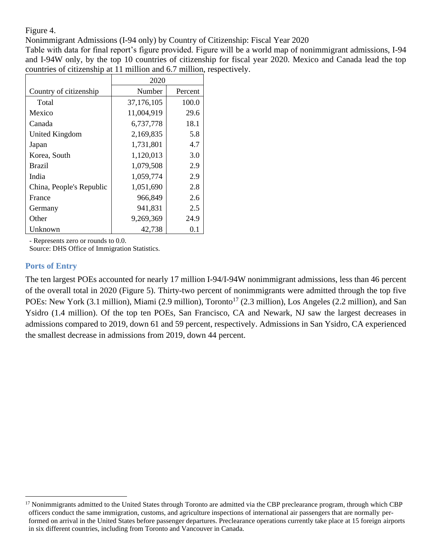Figure 4.

Nonimmigrant Admissions (I-94 only) by Country of Citizenship: Fiscal Year 2020

Table with data for final report's figure provided. Figure will be a world map of nonimmigrant admissions, I-94 and I-94W only, by the top 10 countries of citizenship for fiscal year 2020. Mexico and Canada lead the top countries of citizenship at 11 million and 6.7 million, respectively.

|                          | 2020       |         |
|--------------------------|------------|---------|
| Country of citizenship   | Number     | Percent |
| Total                    | 37,176,105 | 100.0   |
| Mexico                   | 11,004,919 | 29.6    |
| Canada                   | 6,737,778  | 18.1    |
| United Kingdom           | 2,169,835  | 5.8     |
| Japan                    | 1,731,801  | 4.7     |
| Korea, South             | 1,120,013  | 3.0     |
| <b>Brazil</b>            | 1,079,508  | 2.9     |
| India                    | 1,059,774  | 2.9     |
| China, People's Republic | 1,051,690  | 2.8     |
| France                   | 966,849    | 2.6     |
| Germany                  | 941,831    | 2.5     |
| Other                    | 9,269,369  | 24.9    |
| Unknown                  | 42.738     | 0.1     |

- Represents zero or rounds to 0.0.

Source: DHS Office of Immigration Statistics.

#### **Ports of Entry**

The ten largest POEs accounted for nearly 17 million I-94/I-94W nonimmigrant admissions, less than 46 percent of the overall total in 2020 (Figure 5). Thirty-two percent of nonimmigrants were admitted through the top five POEs: New York (3.1 million), Miami (2.9 million), Toronto<sup>17</sup> (2.3 million), Los Angeles (2.2 million), and San Ysidro (1.4 million). Of the top ten POEs, San Francisco, CA and Newark, NJ saw the largest decreases in admissions compared to 2019, down 61 and 59 percent, respectively. Admissions in San Ysidro, CA experienced the smallest decrease in admissions from 2019, down 44 percent.

<sup>&</sup>lt;sup>17</sup> Nonimmigrants admitted to the United States through Toronto are admitted via the CBP preclearance program, through which CBP officers conduct the same immigration, customs, and agriculture inspections of international air passengers that are normally performed on arrival in the United States before passenger departures. Preclearance operations currently take place at 15 foreign airports in six different countries, including from Toronto and Vancouver in Canada.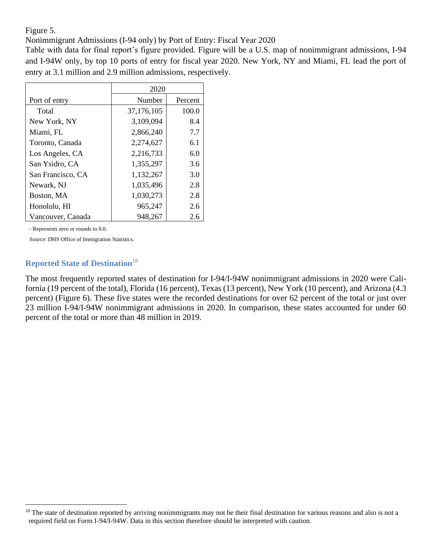Figure 5.

Nonimmigrant Admissions (I-94 only) by Port of Entry: Fiscal Year 2020

Table with data for final report's figure provided. Figure will be a U.S. map of nonimmigrant admissions, I-94 and I-94W only, by top 10 ports of entry for fiscal year 2020. New York, NY and Miami, FL lead the port of entry at 3.1 million and 2.9 million admissions, respectively.

|                   | 2020       |         |
|-------------------|------------|---------|
| Port of entry     | Number     | Percent |
| Total             | 37,176,105 | 100.0   |
| New York, NY      | 3,109,094  | 8.4     |
| Miami, FL         | 2,866,240  | 7.7     |
| Toronto, Canada   | 2,274,627  | 6.1     |
| Los Angeles, CA   | 2,216,733  | 6.0     |
| San Ysidro, CA    | 1,355,297  | 3.6     |
| San Francisco, CA | 1,132,267  | 3.0     |
| Newark, NJ        | 1,035,496  | 2.8     |
| Boston, MA        | 1,030,273  | 2.8     |
| Honolulu, HI      | 965,247    | 2.6     |
| Vancouver, Canada | 948,267    | 2.6     |

- Represents zero or rounds to 0.0.

Source: DHS Office of Immigration Statistics.

#### **Reported State of Destination**<sup>18</sup>

The most frequently reported states of destination for I-94/I-94W nonimmigrant admissions in 2020 were California (19 percent of the total), Florida (16 percent), Texas (13 percent), New York (10 percent), and Arizona (4.3 percent) (Figure 6). These five states were the recorded destinations for over 62 percent of the total or just over 23 million I-94/I-94W nonimmigrant admissions in 2020. In comparison, these states accounted for under 60 percent of the total or more than 48 million in 2019.

<sup>&</sup>lt;sup>18</sup> The state of destination reported by arriving nonimmigrants may not be their final destination for various reasons and also is not a required field on Form I-94/I-94W. Data in this section therefore should be interpreted with caution.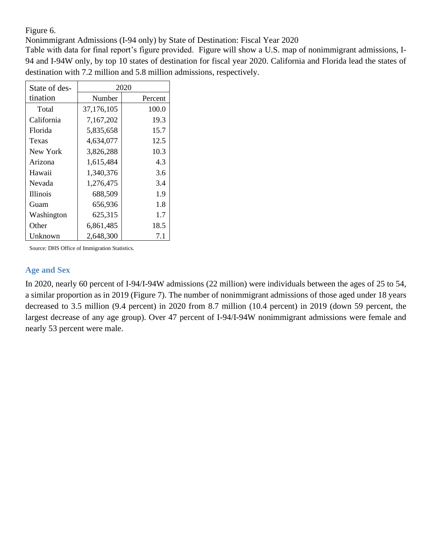Figure 6.

Nonimmigrant Admissions (I-94 only) by State of Destination: Fiscal Year 2020

Table with data for final report's figure provided. Figure will show a U.S. map of nonimmigrant admissions, I-94 and I-94W only, by top 10 states of destination for fiscal year 2020. California and Florida lead the states of destination with 7.2 million and 5.8 million admissions, respectively.

| State of des-   | 2020       |         |  |  |  |
|-----------------|------------|---------|--|--|--|
| tination        | Number     | Percent |  |  |  |
| Total           | 37,176,105 | 100.0   |  |  |  |
| California      | 7,167,202  | 19.3    |  |  |  |
| Florida         | 5,835,658  | 15.7    |  |  |  |
| Texas           | 4,634,077  | 12.5    |  |  |  |
| New York        | 3,826,288  | 10.3    |  |  |  |
| Arizona         | 1,615,484  | 4.3     |  |  |  |
| Hawaii          | 1,340,376  | 3.6     |  |  |  |
| Nevada          | 1,276,475  | 3.4     |  |  |  |
| <i>Illinois</i> | 688,509    | 1.9     |  |  |  |
| Guam            | 656,936    | 1.8     |  |  |  |
| Washington      | 625,315    | 1.7     |  |  |  |
| Other           | 6,861,485  | 18.5    |  |  |  |
| Unknown         | 2,648,300  | 7.1     |  |  |  |

Source: DHS Office of Immigration Statistics.

#### **Age and Sex**

In 2020, nearly 60 percent of I-94/I-94W admissions (22 million) were individuals between the ages of 25 to 54, a similar proportion as in 2019 (Figure 7). The number of nonimmigrant admissions of those aged under 18 years decreased to 3.5 million (9.4 percent) in 2020 from 8.7 million (10.4 percent) in 2019 (down 59 percent, the largest decrease of any age group). Over 47 percent of I-94/I-94W nonimmigrant admissions were female and nearly 53 percent were male.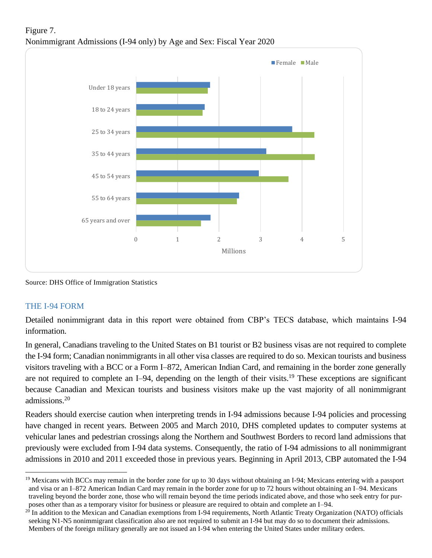

# Figure 7. Nonimmigrant Admissions (I-94 only) by Age and Sex: Fiscal Year 2020

Source: DHS Office of Immigration Statistics

# THE I-94 FORM

Detailed nonimmigrant data in this report were obtained from CBP's TECS database, which maintains I-94 information.

In general, Canadians traveling to the United States on B1 tourist or B2 business visas are not required to complete the I-94 form; Canadian nonimmigrants in all other visa classes are required to do so. Mexican tourists and business visitors traveling with a BCC or a Form I–872, American Indian Card, and remaining in the border zone generally are not required to complete an I–94, depending on the length of their visits.<sup>19</sup> These exceptions are significant because Canadian and Mexican tourists and business visitors make up the vast majority of all nonimmigrant admissions.<sup>20</sup>

Readers should exercise caution when interpreting trends in I-94 admissions because I-94 policies and processing have changed in recent years. Between 2005 and March 2010, DHS completed updates to computer systems at vehicular lanes and pedestrian crossings along the Northern and Southwest Borders to record land admissions that previously were excluded from I-94 data systems. Consequently, the ratio of I-94 admissions to all nonimmigrant admissions in 2010 and 2011 exceeded those in previous years. Beginning in April 2013, CBP automated the I-94

<sup>&</sup>lt;sup>19</sup> Mexicans with BCCs may remain in the border zone for up to 30 days without obtaining an I-94; Mexicans entering with a passport and visa or an I–872 American Indian Card may remain in the border zone for up to 72 hours without obtaining an I–94. Mexicans traveling beyond the border zone, those who will remain beyond the time periods indicated above, and those who seek entry for purposes other than as a temporary visitor for business or pleasure are required to obtain and complete an I–94.

 $20$  In addition to the Mexican and Canadian exemptions from I-94 requirements, North Atlantic Treaty Organization (NATO) officials seeking N1-N5 nonimmigrant classification also are not required to submit an I-94 but may do so to document their admissions. Members of the foreign military generally are not issued an I-94 when entering the United States under military orders.